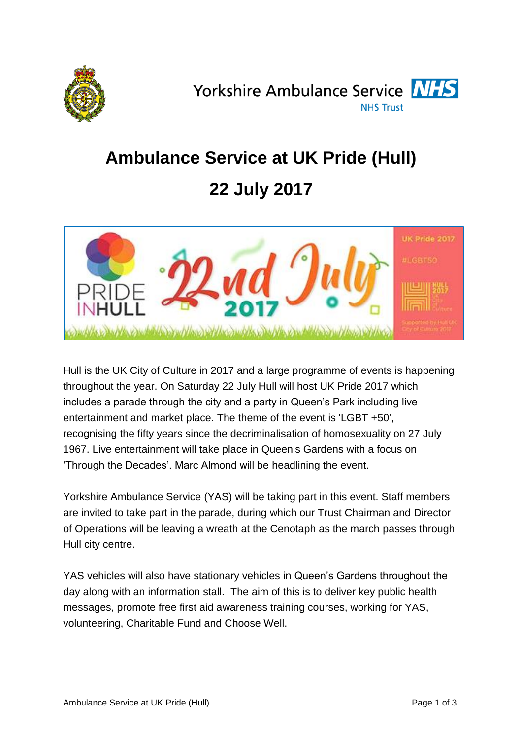

Yorkshire Ambulance Service **NHS NHS Trust** 

# **Ambulance Service at UK Pride (Hull)**

## **22 July 2017**



Hull is the UK City of Culture in 2017 and a large programme of events is happening throughout the year. On Saturday 22 July Hull will host UK Pride 2017 which includes a parade through the city and a party in Queen's Park including live entertainment and market place. The theme of the event is 'LGBT +50', recognising the fifty years since the decriminalisation of homosexuality on 27 July 1967. Live entertainment will take place in Queen's Gardens with a focus on 'Through the Decades'. Marc Almond will be headlining the event.

Yorkshire Ambulance Service (YAS) will be taking part in this event. Staff members are invited to take part in the parade, during which our Trust Chairman and Director of Operations will be leaving a wreath at the Cenotaph as the march passes through Hull city centre.

YAS vehicles will also have stationary vehicles in Queen's Gardens throughout the day along with an information stall. The aim of this is to deliver key public health messages, promote free first aid awareness training courses, working for YAS, volunteering, Charitable Fund and Choose Well.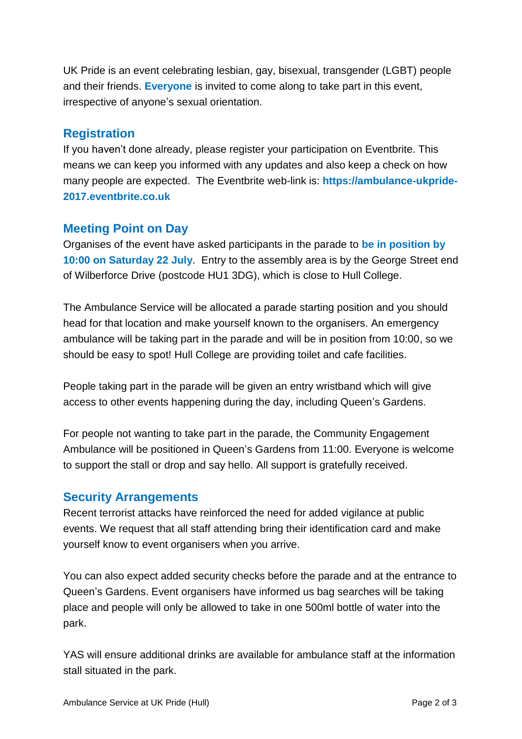UK Pride is an event celebrating lesbian, gay, bisexual, transgender (LGBT) people and their friends. **Everyone** is invited to come along to take part in this event, irrespective of anyone's sexual orientation.

#### **Registration**

If you haven't done already, please register your participation on Eventbrite. This means we can keep you informed with any updates and also keep a check on how many people are expected. The Eventbrite web-link is: **https://ambulance-ukpride-2017.eventbrite.co.uk**

#### **Meeting Point on Day**

Organises of the event have asked participants in the parade to **be in position by 10:00 on Saturday 22 July**. Entry to the assembly area is by the George Street end of Wilberforce Drive (postcode HU1 3DG), which is close to Hull College.

The Ambulance Service will be allocated a parade starting position and you should head for that location and make yourself known to the organisers. An emergency ambulance will be taking part in the parade and will be in position from 10:00, so we should be easy to spot! Hull College are providing toilet and cafe facilities.

People taking part in the parade will be given an entry wristband which will give access to other events happening during the day, including Queen's Gardens.

For people not wanting to take part in the parade, the Community Engagement Ambulance will be positioned in Queen's Gardens from 11:00. Everyone is welcome to support the stall or drop and say hello. All support is gratefully received.

#### **Security Arrangements**

Recent terrorist attacks have reinforced the need for added vigilance at public events. We request that all staff attending bring their identification card and make yourself know to event organisers when you arrive.

You can also expect added security checks before the parade and at the entrance to Queen's Gardens. Event organisers have informed us bag searches will be taking place and people will only be allowed to take in one 500ml bottle of water into the park.

YAS will ensure additional drinks are available for ambulance staff at the information stall situated in the park.